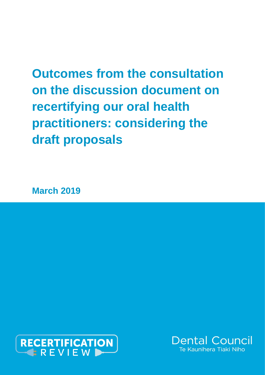# **Outcomes from the consultation on the discussion document on recertifying our oral health practitioners: considering the draft proposals**

**March 2019**



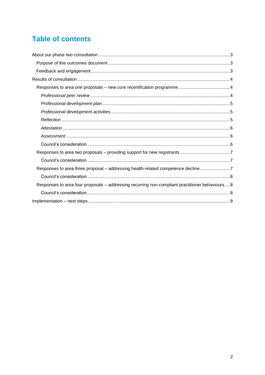# **Table of contents**

| Responses to area three proposal – addressing health-related competence decline                  |
|--------------------------------------------------------------------------------------------------|
|                                                                                                  |
| Responses to area four proposals - addressing recurring non-compliant practitioner behaviours  8 |
|                                                                                                  |
|                                                                                                  |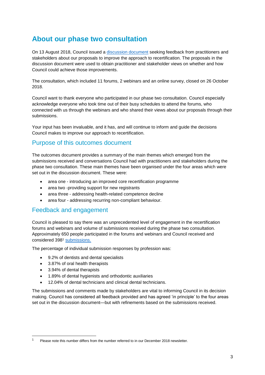## <span id="page-2-0"></span>**About our phase two consultation**

On 13 August 2018, Council issued a [discussion document](https://www.dcnz.org.nz/assets/Uploads/Recertification-phase-2/FINAL-phase-two-discussion-document.pdf) seeking feedback from practitioners and stakeholders about our proposals to improve the approach to recertification. The proposals in the discussion document were used to obtain practitioner and stakeholder views on whether and how Council could achieve those improvements.

The consultation, which included 11 forums, 2 webinars and an online survey, closed on 26 October 2018.

Council want to thank everyone who participated in our phase two consultation. Council especially acknowledge everyone who took time out of their busy schedules to attend the forums, who connected with us through the webinars and who shared their views about our proposals through their submissions.

Your input has been invaluable, and it has, and will continue to inform and guide the decisions Council makes to improve our approach to recertification.

### <span id="page-2-1"></span>Purpose of this outcomes document

The outcomes document provides a summary of the main themes which emerged from the submissions received and conversations Council had with practitioners and stakeholders during the phase two consultation. These main themes have been organised under the four areas which were set out in the discussion document. These were:

- area one introducing an improved core recertification programme
- area two -providing support for new registrants
- area three addressing health-related competence decline
- area four addressing recurring non-compliant behaviour.

#### <span id="page-2-2"></span>Feedback and engagement

Council is pleased to say there was an unprecedented level of engagement in the recertification forums and webinars and volume of submissions received during the phase two consultation. Approximately 650 people participated in the forums and webinars and Council received and considered 398<sup>1</sup> [submissions.](https://www.dcnz.org.nz/resources-and-publications/publications/closed-consultations/recertification-phase-2-submissions/)

The percentage of individual submission responses by profession was:

- 9.2% of dentists and dental specialists
- 3.87% of oral health therapists
- 3.94% of dental therapists

-

- 1.89% of dental hygienists and orthodontic auxiliaries
- 12.04% of dental technicians and clinical dental technicians.

The submissions and comments made by stakeholders are vital to informing Council in its decision making. Council has considered all feedback provided and has agreed 'in principle' to the four areas set out in the discussion document—but with refinements based on the submissions received.

<sup>1</sup> Please note this number differs from the number referred to in our December 2018 newsletter.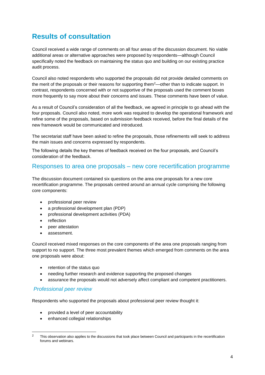# <span id="page-3-0"></span>**Results of consultation**

Council received a wide range of comments on all four areas of the discussion document. No viable additional areas or alternative approaches were proposed by respondents—although Council specifically noted the feedback on maintaining the status quo and building on our existing practice audit process.

Council also noted respondents who supported the proposals did not provide detailed comments on the merit of the proposals or their reasons for supporting them<sup>2</sup>—other than to indicate support. In contrast, respondents concerned with or not supportive of the proposals used the comment boxes more frequently to say more about their concerns and issues. These comments have been of value.

As a result of Council's consideration of all the feedback, we agreed in principle to go ahead with the four proposals. Council also noted, more work was required to develop the operational framework and refine some of the proposals, based on submission feedback received, before the final details of the new framework would be communicated and introduced.

The secretariat staff have been asked to refine the proposals, those refinements will seek to address the main issues and concerns expressed by respondents.

The following details the key themes of feedback received on the four proposals, and Council's consideration of the feedback.

#### <span id="page-3-1"></span>Responses to area one proposals – new core recertification programme

The discussion document contained six questions on the area one proposals for a new core recertification programme. The proposals centred around an annual cycle comprising the following core components:

- professional peer review
- a professional development plan (PDP)
- professional development activities (PDA)
- reflection
- peer attestation
- assessment.

Council received mixed responses on the core components of the area one proposals ranging from support to no support. The three most prevalent themes which emerged from comments on the area one proposals were about:

- retention of the status quo
- needing further research and evidence supporting the proposed changes
- assurance the proposals would not adversely affect compliant and competent practitioners.

#### <span id="page-3-2"></span>*Professional peer review*

-

Respondents who supported the proposals about professional peer review thought it:

- provided a level of peer accountability
- enhanced collegial relationships

<sup>&</sup>lt;sup>2</sup> This observation also applies to the discussions that took place between Council and participants in the recertification forums and webinars.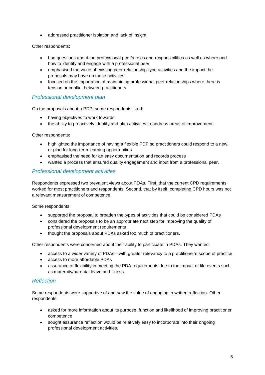• addressed practitioner isolation and lack of insight.

#### Other respondents:

- had questions about the professional peer's roles and responsibilities as well as where and how to identify and engage with a professional peer
- emphasised the value of existing peer relationship-type activities and the impact the proposals may have on these activities
- focused on the importance of maintaining professional peer relationships where there is tension or conflict between practitioners.

#### <span id="page-4-0"></span>*Professional development plan*

On the proposals about a PDP, some respondents liked:

- having objectives to work towards
- the ability to proactively identify and plan activities to address areas of improvement.

Other respondents:

- highlighted the importance of having a flexible PDP so practitioners could respond to a new, or plan for long-term learning opportunities
- emphasised the need for an easy documentation and records process
- wanted a process that ensured quality engagement and input from a professional peer.

#### <span id="page-4-1"></span>*Professional development activities*

Respondents expressed two prevalent views about PDAs. First, that the current CPD requirements worked for most practitioners and respondents. Second, that by itself, completing CPD hours was not a relevant measurement of competence.

Some respondents:

- supported the proposal to broaden the types of activities that could be considered PDAs
- considered the proposals to be an appropriate next step for improving the quality of professional development requirements
- thought the proposals about PDAs asked too much of practitioners.

Other respondents were concerned about their ability to participate in PDAs. They wanted:

- access to a wider variety of PDAs—with greater relevancy to a practitioner's scope of practice
- access to more affordable PDAs
- assurance of flexibility in meeting the PDA requirements due to the impact of life events such as maternity/parental leave and illness.

#### <span id="page-4-2"></span>*Reflection*

Some respondents were supportive of and saw the value of engaging in written reflection. Other respondents:

- asked for more information about its purpose, function and likelihood of improving practitioner competence
- sought assurance reflection would be relatively easy to incorporate into their ongoing professional development activities.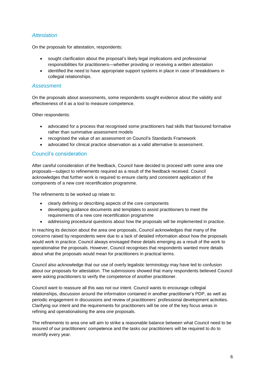#### <span id="page-5-0"></span>*Attestation*

On the proposals for attestation, respondents:

- sought clarification about the proposal's likely legal implications and professional responsibilities for practitioners—whether providing or receiving a written attestation
- identified the need to have appropriate support systems in place in case of breakdowns in collegial relationships.

#### <span id="page-5-1"></span>*Assessment*

On the proposals about assessments, some respondents sought evidence about the validity and effectiveness of it as a tool to measure competence.

Other respondents:

- advocated for a process that recognised some practitioners had skills that favoured formative rather than summative assessment models
- recognised the value of an assessment on Council's Standards Framework
- advocated for clinical practice observation as a valid alternative to assessment.

#### <span id="page-5-2"></span>Council's consideration

After careful consideration of the feedback, Council have decided to proceed with some area one proposals—subject to refinements required as a result of the feedback received. Council acknowledges that further work is required to ensure clarity and consistent application of the components of a new core recertification programme.

The refinements to be worked up relate to:

- clearly defining or describing aspects of the core components
- developing guidance documents and templates to assist practitioners to meet the requirements of a new core recertification programme
- addressing procedural questions about how the proposals will be implemented in practice.

In reaching its decision about the area one proposals, Council acknowledges that many of the concerns raised by respondents were due to a lack of detailed information about how the proposals would work in practice. Council always envisaged these details emerging as a result of the work to operationalise the proposals. However, Council recognises that respondents wanted more details about what the proposals would mean for practitioners in practical terms.

Council also acknowledge that our use of overly legalistic terminology may have led to confusion about our proposals for attestation. The submissions showed that many respondents believed Council were asking practitioners to verify the competence of another practitioner.

Council want to reassure all this was not our intent. Council wants to encourage collegial relationships, discussion around the information contained in another practitioner's PDP, as well as periodic engagement in discussions and review of practitioners' professional development activities. Clarifying our intent and the requirements for practitioners will be one of the key focus areas in refining and operationalising the area one proposals.

The refinements to area one will aim to strike a reasonable balance between what Council need to be assured of our practitioners' competence and the tasks our practitioners will be required to do to recertify every year.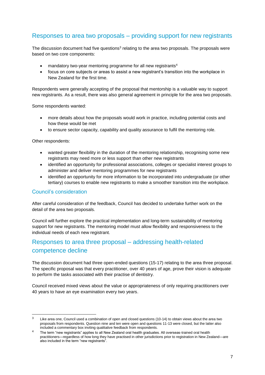## <span id="page-6-0"></span>Responses to area two proposals – providing support for new registrants

The discussion document had five questions<sup>3</sup> relating to the area two proposals. The proposals were based on two core components:

- mandatory two-year mentoring programme for all new registrants<sup>4</sup>
- focus on core subjects or areas to assist a new registrant's transition into the workplace in New Zealand for the first time.

Respondents were generally accepting of the proposal that mentorship is a valuable way to support new registrants. As a result, there was also general agreement in principle for the area two proposals.

Some respondents wanted:

- more details about how the proposals would work in practice, including potential costs and how these would be met
- to ensure sector capacity, capability and quality assurance to fulfil the mentoring role.

Other respondents:

- wanted greater flexibility in the duration of the mentoring relationship, recognising some new registrants may need more or less support than other new registrants
- identified an opportunity for professional associations, colleges or specialist interest groups to administer and deliver mentoring programmes for new registrants
- identified an opportunity for more information to be incorporated into undergraduate (or other tertiary) courses to enable new registrants to make a smoother transition into the workplace.

#### <span id="page-6-1"></span>Council's consideration

-

After careful consideration of the feedback, Council has decided to undertake further work on the detail of the area two proposals.

Council will further explore the practical implementation and long-term sustainability of mentoring support for new registrants. The mentoring model must allow flexibility and responsiveness to the individual needs of each new registrant.

## <span id="page-6-2"></span>Responses to area three proposal – addressing health-related competence decline

The discussion document had three open-ended questions (15-17) relating to the area three proposal. The specific proposal was that every practitioner, over 40 years of age, prove their vision is adequate to perform the tasks associated with their practise of dentistry.

Council received mixed views about the value or appropriateness of only requiring practitioners over 40 years to have an eye examination every two years.

 $3$  Like area one, Council used a combination of open and closed questions (10-14) to obtain views about the area two proposals from respondents. Question nine and ten were open and questions 11-13 were closed, but the latter also included a commentary box inviting qualitative feedback from respondents.

<sup>4</sup> The term "new registrants" applies to all New Zealand oral health graduates. All overseas-trained oral health practitioners—regardless of how long they have practised in other jurisdictions prior to registration in New Zealand—are also included in the term "new registrants".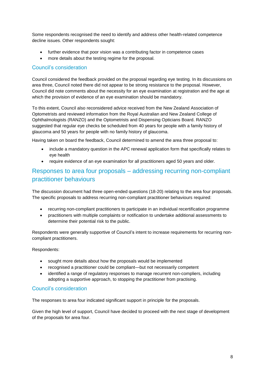Some respondents recognised the need to identify and address other health-related competence decline issues. Other respondents sought:

- further evidence that poor vision was a contributing factor in competence cases
- more details about the testing regime for the proposal.

#### <span id="page-7-0"></span>Council's consideration

Council considered the feedback provided on the proposal regarding eye testing. In its discussions on area three, Council noted there did not appear to be strong resistance to the proposal. However, Council did note comments about the necessity for an eye examination at registration and the age at which the provision of evidence of an eye examination should be mandatory.

To this extent, Council also reconsidered advice received from the New Zealand Association of Optometrists and reviewed information from the Royal Australian and New Zealand College of Ophthalmologists (RANZO) and the Optometrists and Dispensing Opticians Board. RANZO suggested that regular eye checks be scheduled from 40 years for people with a family history of glaucoma and 50 years for people with no family history of glaucoma.

Having taken on board the feedback, Council determined to amend the area three proposal to:

- include a mandatory question in the APC renewal application form that specifically relates to eye health
- require evidence of an eye examination for all practitioners aged 50 years and older.

## <span id="page-7-1"></span>Responses to area four proposals – addressing recurring non-compliant practitioner behaviours

The discussion document had three open-ended questions (18-20) relating to the area four proposals. The specific proposals to address recurring non-compliant practitioner behaviours required:

- recurring non-compliant practitioners to participate in an individual recertification programme
- practitioners with multiple complaints or notification to undertake additional assessments to determine their potential risk to the public.

Respondents were generally supportive of Council's intent to increase requirements for recurring noncompliant practitioners.

Respondents:

- sought more details about how the proposals would be implemented
- recognised a practitioner could be compliant—but not necessarily competent
- identified a range of regulatory responses to manage recurrent non-compliers, including adopting a supportive approach, to stopping the practitioner from practising.

#### <span id="page-7-2"></span>Council's consideration

The responses to area four indicated significant support in principle for the proposals.

Given the high level of support, Council have decided to proceed with the next stage of development of the proposals for area four.